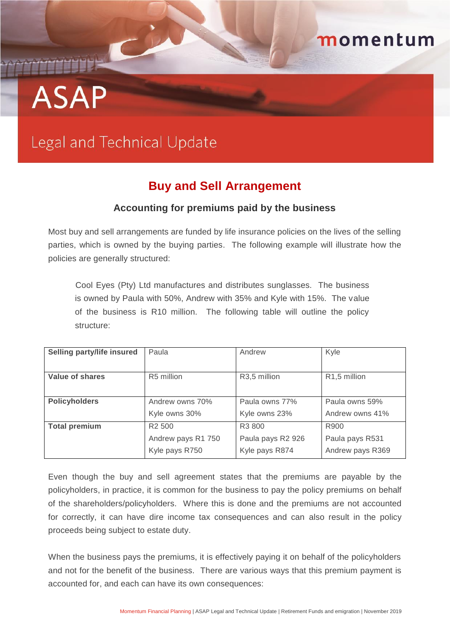# THEFT **ASAP**

## Legal and Technical Update

### **Buy and Sell Arrangement**

momentum

#### **Accounting for premiums paid by the business**

Most buy and sell arrangements are funded by life insurance policies on the lives of the selling parties, which is owned by the buying parties. The following example will illustrate how the policies are generally structured:

Cool Eyes (Pty) Ltd manufactures and distributes sunglasses. The business is owned by Paula with 50%, Andrew with 35% and Kyle with 15%. The value of the business is R10 million. The following table will outline the policy structure:

| Selling party/life insured | Paula              | Andrew                    | Kyle                      |
|----------------------------|--------------------|---------------------------|---------------------------|
| Value of shares            | R5 million         | R <sub>3</sub> ,5 million | R <sub>1</sub> ,5 million |
| <b>Policyholders</b>       | Andrew owns 70%    | Paula owns 77%            | Paula owns 59%            |
|                            | Kyle owns 30%      | Kyle owns 23%             | Andrew owns 41%           |
| <b>Total premium</b>       | R <sub>2</sub> 500 | R <sub>3</sub> 800        | R900                      |
|                            | Andrew pays R1 750 | Paula pays R2 926         | Paula pays R531           |
|                            | Kyle pays R750     | Kyle pays R874            | Andrew pays R369          |

Even though the buy and sell agreement states that the premiums are payable by the policyholders, in practice, it is common for the business to pay the policy premiums on behalf of the shareholders/policyholders. Where this is done and the premiums are not accounted for correctly, it can have dire income tax consequences and can also result in the policy proceeds being subject to estate duty.

When the business pays the premiums, it is effectively paying it on behalf of the policyholders and not for the benefit of the business. There are various ways that this premium payment is accounted for, and each can have its own consequences: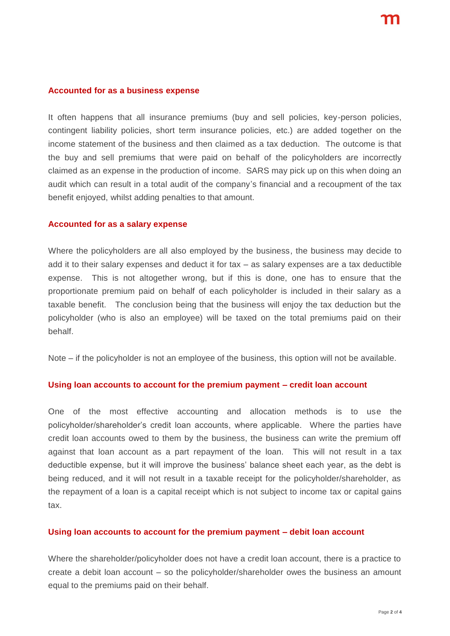#### **Accounted for as a business expense**

It often happens that all insurance premiums (buy and sell policies, key-person policies, contingent liability policies, short term insurance policies, etc.) are added together on the income statement of the business and then claimed as a tax deduction. The outcome is that the buy and sell premiums that were paid on behalf of the policyholders are incorrectly claimed as an expense in the production of income. SARS may pick up on this when doing an audit which can result in a total audit of the company's financial and a recoupment of the tax benefit enjoyed, whilst adding penalties to that amount.

#### **Accounted for as a salary expense**

Where the policyholders are all also employed by the business, the business may decide to add it to their salary expenses and deduct it for tax – as salary expenses are a tax deductible expense. This is not altogether wrong, but if this is done, one has to ensure that the proportionate premium paid on behalf of each policyholder is included in their salary as a taxable benefit. The conclusion being that the business will enjoy the tax deduction but the policyholder (who is also an employee) will be taxed on the total premiums paid on their behalf.

Note – if the policyholder is not an employee of the business, this option will not be available.

#### **Using loan accounts to account for the premium payment – credit loan account**

One of the most effective accounting and allocation methods is to use the policyholder/shareholder's credit loan accounts, where applicable. Where the parties have credit loan accounts owed to them by the business, the business can write the premium off against that loan account as a part repayment of the loan. This will not result in a tax deductible expense, but it will improve the business' balance sheet each year, as the debt is being reduced, and it will not result in a taxable receipt for the policyholder/shareholder, as the repayment of a loan is a capital receipt which is not subject to income tax or capital gains tax.

#### **Using loan accounts to account for the premium payment – debit loan account**

Where the shareholder/policyholder does not have a credit loan account, there is a practice to create a debit loan account – so the policyholder/shareholder owes the business an amount equal to the premiums paid on their behalf.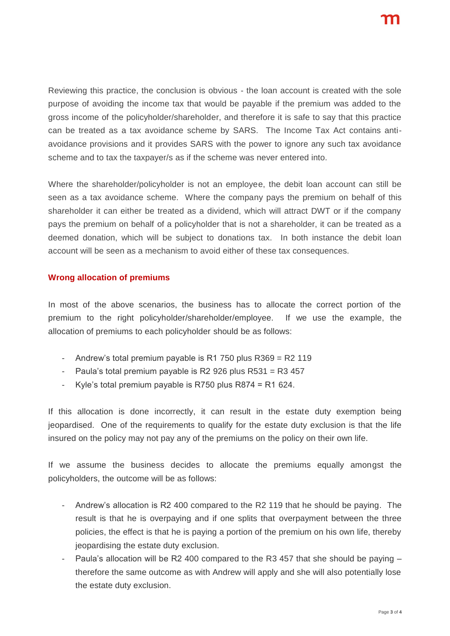Reviewing this practice, the conclusion is obvious - the loan account is created with the sole purpose of avoiding the income tax that would be payable if the premium was added to the gross income of the policyholder/shareholder, and therefore it is safe to say that this practice can be treated as a tax avoidance scheme by SARS. The Income Tax Act contains antiavoidance provisions and it provides SARS with the power to ignore any such tax avoidance scheme and to tax the taxpayer/s as if the scheme was never entered into.

Where the shareholder/policyholder is not an employee, the debit loan account can still be seen as a tax avoidance scheme. Where the company pays the premium on behalf of this shareholder it can either be treated as a dividend, which will attract DWT or if the company pays the premium on behalf of a policyholder that is not a shareholder, it can be treated as a deemed donation, which will be subject to donations tax. In both instance the debit loan account will be seen as a mechanism to avoid either of these tax consequences.

#### **Wrong allocation of premiums**

In most of the above scenarios, the business has to allocate the correct portion of the premium to the right policyholder/shareholder/employee. If we use the example, the allocation of premiums to each policyholder should be as follows:

- Andrew's total premium payable is R1 750 plus  $R369 = R2 119$
- Paula's total premium payable is R2 926 plus  $R531 = R3457$
- Kyle's total premium payable is R750 plus R874 = R1 624.

If this allocation is done incorrectly, it can result in the estate duty exemption being jeopardised. One of the requirements to qualify for the estate duty exclusion is that the life insured on the policy may not pay any of the premiums on the policy on their own life.

If we assume the business decides to allocate the premiums equally amongst the policyholders, the outcome will be as follows:

- Andrew's allocation is R2 400 compared to the R2 119 that he should be paying. The result is that he is overpaying and if one splits that overpayment between the three policies, the effect is that he is paying a portion of the premium on his own life, thereby jeopardising the estate duty exclusion.
- Paula's allocation will be R2 400 compared to the R3 457 that she should be paying  $$ therefore the same outcome as with Andrew will apply and she will also potentially lose the estate duty exclusion.